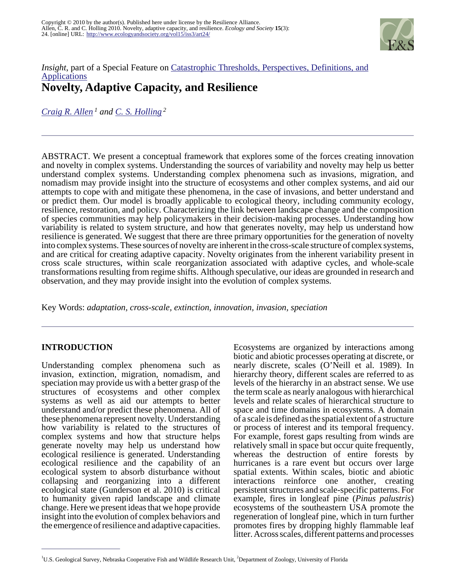

# *Insight*, part of a Special Feature on *Catastrophic Thresholds*, *Perspectives*, *Definitions*, and **[Applications](http://www.ecologyandsociety.org/viewissue.php?sf=30) Novelty, Adaptive Capacity, and Resilience**

*[Craig R. Allen](mailto:allencr@unl.edu)<sup>1</sup> and [C. S. Holling](mailto:holling@zoo.ufl.edu)<sup>2</sup>*

ABSTRACT. We present a conceptual framework that explores some of the forces creating innovation and novelty in complex systems. Understanding the sources of variability and novelty may help us better understand complex systems. Understanding complex phenomena such as invasions, migration, and nomadism may provide insight into the structure of ecosystems and other complex systems, and aid our attempts to cope with and mitigate these phenomena, in the case of invasions, and better understand and or predict them. Our model is broadly applicable to ecological theory, including community ecology, resilience, restoration, and policy. Characterizing the link between landscape change and the composition of species communities may help policymakers in their decision-making processes. Understanding how variability is related to system structure, and how that generates novelty, may help us understand how resilience is generated. We suggest that there are three primary opportunities for the generation of novelty into complex systems. These sources of novelty are inherent in the cross-scale structure of complex systems, and are critical for creating adaptive capacity. Novelty originates from the inherent variability present in cross scale structures, within scale reorganization associated with adaptive cycles, and whole-scale transformations resulting from regime shifts. Although speculative, our ideas are grounded in research and observation, and they may provide insight into the evolution of complex systems.

Key Words: *adaptation, cross-scale, extinction, innovation, invasion, speciation*

## **INTRODUCTION**

Understanding complex phenomena such as invasion, extinction, migration, nomadism, and speciation may provide us with a better grasp of the structures of ecosystems and other complex systems as well as aid our attempts to better understand and/or predict these phenomena. All of these phenomena represent novelty. Understanding how variability is related to the structures of complex systems and how that structure helps generate novelty may help us understand how ecological resilience is generated. Understanding ecological resilience and the capability of an ecological system to absorb disturbance without collapsing and reorganizing into a different ecological state (Gunderson et al. 2010) is critical to humanity given rapid landscape and climate change. Here we present ideas that we hope provide insight into the evolution of complex behaviors and the emergence of resilience and adaptive capacities.

Ecosystems are organized by interactions among biotic and abiotic processes operating at discrete, or nearly discrete, scales (O'Neill et al. 1989). In hierarchy theory, different scales are referred to as levels of the hierarchy in an abstract sense. We use the term scale as nearly analogous with hierarchical levels and relate scales of hierarchical structure to space and time domains in ecosystems. A domain of a scale is defined as the spatial extent of a structure or process of interest and its temporal frequency. For example, forest gaps resulting from winds are relatively small in space but occur quite frequently, whereas the destruction of entire forests by hurricanes is a rare event but occurs over large spatial extents. Within scales, biotic and abiotic interactions reinforce one another, creating persistent structures and scale-specific patterns. For example, fires in longleaf pine (*Pinus palustris*) ecosystems of the southeastern USA promote the regeneration of longleaf pine, which in turn further promotes fires by dropping highly flammable leaf litter. Across scales, different patterns and processes

<sup>&</sup>lt;sup>1</sup>U.S. Geological Survey, Nebraska Cooperative Fish and Wildlife Research Unit, <sup>2</sup>Department of Zoology, University of Florida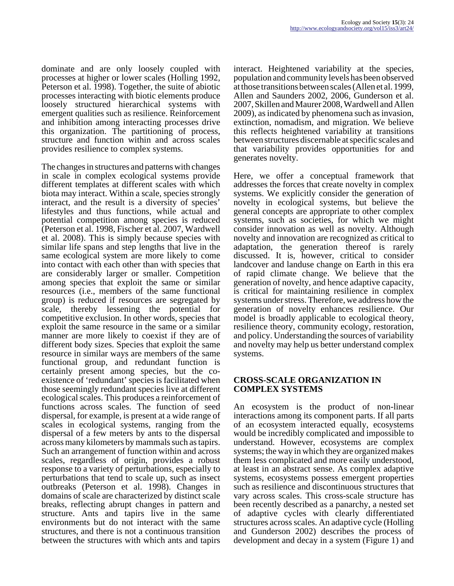dominate and are only loosely coupled with processes at higher or lower scales (Holling 1992, Peterson et al. 1998). Together, the suite of abiotic processes interacting with biotic elements produce loosely structured hierarchical systems with emergent qualities such as resilience. Reinforcement and inhibition among interacting processes drive this organization. The partitioning of process, structure and function within and across scales provides resilience to complex systems.

The changes in structures and patterns with changes in scale in complex ecological systems provide different templates at different scales with which biota may interact. Within a scale, species strongly interact, and the result is a diversity of species' lifestyles and thus functions, while actual and potential competition among species is reduced (Peterson et al. 1998, Fischer et al. 2007, Wardwell et al. 2008). This is simply because species with similar life spans and step lengths that live in the same ecological system are more likely to come into contact with each other than with species that are considerably larger or smaller. Competition among species that exploit the same or similar resources (i.e., members of the same functional group) is reduced if resources are segregated by scale, thereby lessening the potential for competitive exclusion. In other words, species that exploit the same resource in the same or a similar manner are more likely to coexist if they are of different body sizes. Species that exploit the same resource in similar ways are members of the same functional group, and redundant function is certainly present among species, but the coexistence of 'redundant' species is facilitated when those seemingly redundant species live at different ecological scales. This produces a reinforcement of functions across scales. The function of seed dispersal, for example, is present at a wide range of scales in ecological systems, ranging from the dispersal of a few meters by ants to the dispersal across many kilometers by mammals such as tapirs. Such an arrangement of function within and across scales, regardless of origin, provides a robust response to a variety of perturbations, especially to perturbations that tend to scale up, such as insect outbreaks (Peterson et al. 1998). Changes in domains of scale are characterized by distinct scale breaks, reflecting abrupt changes in pattern and structure. Ants and tapirs live in the same environments but do not interact with the same structures, and there is not a continuous transition between the structures with which ants and tapirs

interact. Heightened variability at the species, population and community levels has been observed at those transitions between scales (Allen et al. 1999, Allen and Saunders 2002, 2006, Gunderson et al. 2007, Skillen and Maurer 2008, Wardwell and Allen 2009), as indicated by phenomena such as invasion, extinction, nomadism, and migration. We believe this reflects heightened variability at transitions between structures discernable at specific scales and that variability provides opportunities for and generates novelty.

Here, we offer a conceptual framework that addresses the forces that create novelty in complex systems. We explicitly consider the generation of novelty in ecological systems, but believe the general concepts are appropriate to other complex systems, such as societies, for which we might consider innovation as well as novelty. Although novelty and innovation are recognized as critical to adaptation, the generation thereof is rarely discussed. It is, however, critical to consider landcover and landuse change on Earth in this era of rapid climate change. We believe that the generation of novelty, and hence adaptive capacity, is critical for maintaining resilience in complex systems under stress. Therefore, we address how the generation of novelty enhances resilience. Our model is broadly applicable to ecological theory, resilience theory, community ecology, restoration, and policy. Understanding the sources of variability and novelty may help us better understand complex systems.

#### **CROSS-SCALE ORGANIZATION IN COMPLEX SYSTEMS**

An ecosystem is the product of non-linear interactions among its component parts. If all parts of an ecosystem interacted equally, ecosystems would be incredibly complicated and impossible to understand. However, ecosystems are complex systems; the way in which they are organized makes them less complicated and more easily understood, at least in an abstract sense. As complex adaptive systems, ecosystems possess emergent properties such as resilience and discontinuous structures that vary across scales. This cross-scale structure has been recently described as a panarchy, a nested set of adaptive cycles with clearly differentiated structures across scales. An adaptive cycle (Holling and Gunderson 2002) describes the process of development and decay in a system (Figure 1) and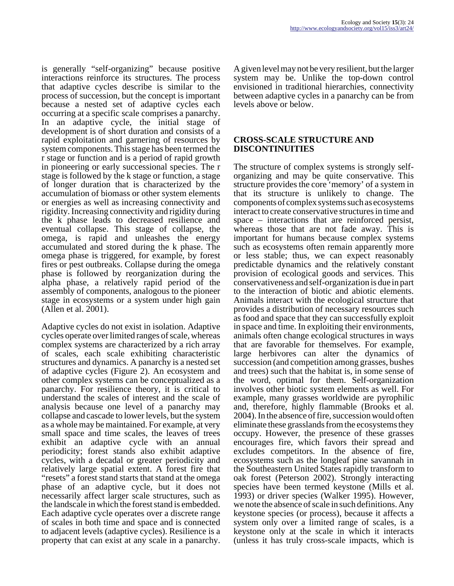is generally "self-organizing" because positive interactions reinforce its structures. The process that adaptive cycles describe is similar to the process of succession, but the concept is important because a nested set of adaptive cycles each occurring at a specific scale comprises a panarchy. In an adaptive cycle, the initial stage of development is of short duration and consists of a rapid exploitation and garnering of resources by system components. This stage has been termed the r stage or function and is a period of rapid growth in pioneering or early successional species. The r stage is followed by the k stage or function, a stage of longer duration that is characterized by the accumulation of biomass or other system elements or energies as well as increasing connectivity and rigidity. Increasing connectivity and rigidity during the k phase leads to decreased resilience and eventual collapse. This stage of collapse, the omega, is rapid and unleashes the energy accumulated and stored during the k phase. The omega phase is triggered, for example, by forest fires or pest outbreaks. Collapse during the omega phase is followed by reorganization during the alpha phase, a relatively rapid period of the assembly of components, analogous to the pioneer stage in ecosystems or a system under high gain (Allen et al. 2001).

Adaptive cycles do not exist in isolation. Adaptive cycles operate over limited ranges of scale, whereas complex systems are characterized by a rich array of scales, each scale exhibiting characteristic structures and dynamics. A panarchy is a nested set of adaptive cycles (Figure 2). An ecosystem and other complex systems can be conceptualized as a panarchy. For resilience theory, it is critical to understand the scales of interest and the scale of analysis because one level of a panarchy may collapse and cascade to lower levels, but the system as a whole may be maintained. For example, at very small space and time scales, the leaves of trees exhibit an adaptive cycle with an annual periodicity; forest stands also exhibit adaptive cycles, with a decadal or greater periodicity and relatively large spatial extent. A forest fire that "resets" a forest stand starts that stand at the omega phase of an adaptive cycle, but it does not necessarily affect larger scale structures, such as the landscale in which the forest stand is embedded. Each adaptive cycle operates over a discrete range of scales in both time and space and is connected to adjacent levels (adaptive cycles). Resilience is a property that can exist at any scale in a panarchy.

A given level may not be very resilient, but the larger system may be. Unlike the top-down control envisioned in traditional hierarchies, connectivity between adaptive cycles in a panarchy can be from levels above or below.

#### **CROSS-SCALE STRUCTURE AND DISCONTINUITIES**

The structure of complex systems is strongly selforganizing and may be quite conservative. This structure provides the core 'memory' of a system in that its structure is unlikely to change. The components of complex systems such as ecosystems interact to create conservative structures in time and space – interactions that are reinforced persist, whereas those that are not fade away. This is important for humans because complex systems such as ecosystems often remain apparently more or less stable; thus, we can expect reasonably predictable dynamics and the relatively constant provision of ecological goods and services. This conservativeness and self-organization is due in part to the interaction of biotic and abiotic elements. Animals interact with the ecological structure that provides a distribution of necessary resources such as food and space that they can successfully exploit in space and time. In exploiting their environments, animals often change ecological structures in ways that are favorable for themselves. For example, large herbivores can alter the dynamics of succession (and competition among grasses, bushes and trees) such that the habitat is, in some sense of the word, optimal for them. Self-organization involves other biotic system elements as well. For example, many grasses worldwide are pyrophilic and, therefore, highly flammable (Brooks et al. 2004). In the absence of fire, succession would often eliminate these grasslands from the ecosystems they occupy. However, the presence of these grasses encourages fire, which favors their spread and excludes competitors. In the absence of fire, ecosystems such as the longleaf pine savannah in the Southeastern United States rapidly transform to oak forest (Peterson 2002). Strongly interacting species have been termed keystone (Mills et al. 1993) or driver species (Walker 1995). However, we note the absence of scale in such definitions. Any keystone species (or process), because it affects a system only over a limited range of scales, is a keystone only at the scale in which it interacts (unless it has truly cross-scale impacts, which is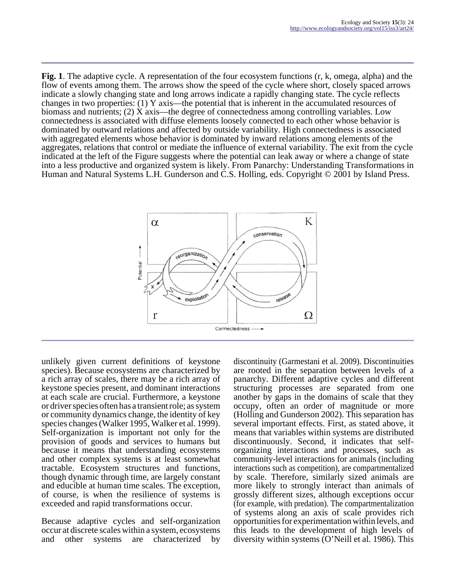**Fig. 1**. The adaptive cycle. A representation of the four ecosystem functions (r, k, omega, alpha) and the flow of events among them. The arrows show the speed of the cycle where short, closely spaced arrows indicate a slowly changing state and long arrows indicate a rapidly changing state. The cycle reflects changes in two properties: (1) Y axis—the potential that is inherent in the accumulated resources of biomass and nutrients; (2) X axis—the degree of connectedness among controlling variables. Low connectedness is associated with diffuse elements loosely connected to each other whose behavior is dominated by outward relations and affected by outside variability. High connectedness is associated with aggregated elements whose behavior is dominated by inward relations among elements of the aggregates, relations that control or mediate the influence of external variability. The exit from the cycle indicated at the left of the Figure suggests where the potential can leak away or where a change of state into a less productive and organized system is likely. From Panarchy: Understanding Transformations in Human and Natural Systems L.H. Gunderson and C.S. Holling, eds. Copyright © 2001 by Island Press.



unlikely given current definitions of keystone species). Because ecosystems are characterized by a rich array of scales, there may be a rich array of keystone species present, and dominant interactions at each scale are crucial. Furthermore, a keystone or driver species often has a transient role; as system or community dynamics change, the identity of key species changes (Walker 1995, Walker et al. 1999). Self-organization is important not only for the provision of goods and services to humans but because it means that understanding ecosystems and other complex systems is at least somewhat tractable. Ecosystem structures and functions, though dynamic through time, are largely constant and educible at human time scales. The exception, of course, is when the resilience of systems is exceeded and rapid transformations occur.

Because adaptive cycles and self-organization occur at discrete scales within a system, ecosystems and other systems are characterized by

discontinuity (Garmestani et al. 2009). Discontinuities are rooted in the separation between levels of a panarchy. Different adaptive cycles and different structuring processes are separated from one another by gaps in the domains of scale that they occupy, often an order of magnitude or more (Holling and Gunderson 2002). This separation has several important effects. First, as stated above, it means that variables within systems are distributed discontinuously. Second, it indicates that selforganizing interactions and processes, such as community-level interactions for animals (including interactions such as competition), are compartmentalized by scale. Therefore, similarly sized animals are more likely to strongly interact than animals of grossly different sizes, although exceptions occur (for example, with predation). The compartmentalization of systems along an axis of scale provides rich opportunities for experimentation within levels, and this leads to the development of high levels of diversity within systems (O'Neill et al. 1986). This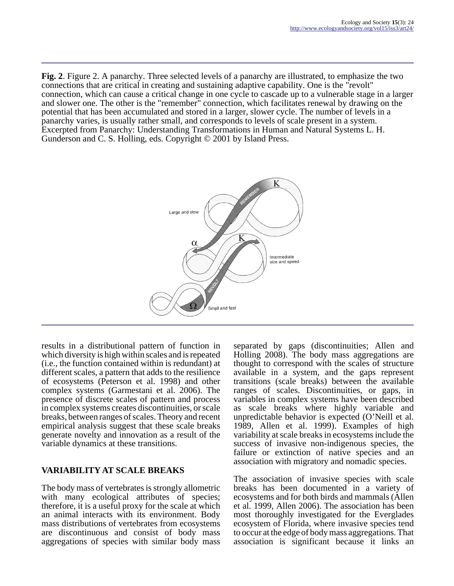**Fig. 2**. Figure 2. A panarchy. Three selected levels of a panarchy are illustrated, to emphasize the two connections that are critical in creating and sustaining adaptive capability. One is the "revolt" connection, which can cause a critical change in one cycle to cascade up to a vulnerable stage in a larger and slower one. The other is the "remember" connection, which facilitates renewal by drawing on the potential that has been accumulated and stored in a larger, slower cycle. The number of levels in a panarchy varies, is usually rather small, and corresponds to levels of scale present in a system. Excerpted from Panarchy: Understanding Transformations in Human and Natural Systems L. H. Gunderson and C. S. Holling, eds. Copyright © 2001 by Island Press.



results in a distributional pattern of function in which diversity is high within scales and is repeated (i.e., the function contained within is redundant) at different scales, a pattern that adds to the resilience of ecosystems (Peterson et al. 1998) and other complex systems (Garmestani et al. 2006). The presence of discrete scales of pattern and process in complex systems creates discontinuities, or scale breaks, between ranges of scales. Theory and recent empirical analysis suggest that these scale breaks generate novelty and innovation as a result of the variable dynamics at these transitions.

# **VARIABILITY AT SCALE BREAKS**

The body mass of vertebrates is strongly allometric with many ecological attributes of species; therefore, it is a useful proxy for the scale at which an animal interacts with its environment. Body mass distributions of vertebrates from ecosystems are discontinuous and consist of body mass aggregations of species with similar body mass

separated by gaps (discontinuities; Allen and Holling 2008). The body mass aggregations are thought to correspond with the scales of structure available in a system, and the gaps represent transitions (scale breaks) between the available ranges of scales. Discontinuities, or gaps, in variables in complex systems have been described as scale breaks where highly variable and unpredictable behavior is expected (O'Neill et al. 1989, Allen et al. 1999). Examples of high variability at scale breaks in ecosystems include the success of invasive non-indigenous species, the failure or extinction of native species and an association with migratory and nomadic species.

The association of invasive species with scale breaks has been documented in a variety of ecosystems and for both birds and mammals (Allen et al. 1999, Allen 2006). The association has been most thoroughly investigated for the Everglades ecosystem of Florida, where invasive species tend to occur at the edge of body mass aggregations. That association is significant because it links an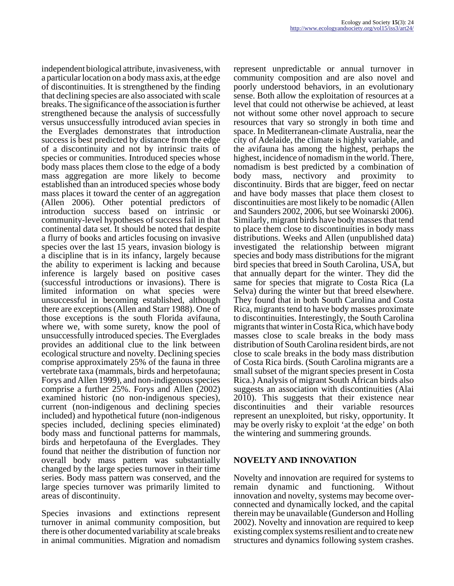independent biological attribute, invasiveness, with a particular location on a body mass axis, at the edge of discontinuities. It is strengthened by the finding that declining species are also associated with scale breaks. The significance of the association is further strengthened because the analysis of successfully versus unsuccessfully introduced avian species in the Everglades demonstrates that introduction success is best predicted by distance from the edge of a discontinuity and not by intrinsic traits of species or communities. Introduced species whose body mass places them close to the edge of a body mass aggregation are more likely to become established than an introduced species whose body mass places it toward the center of an aggregation (Allen 2006). Other potential predictors of introduction success based on intrinsic or community-level hypotheses of success fail in that continental data set. It should be noted that despite a flurry of books and articles focusing on invasive species over the last 15 years, invasion biology is a discipline that is in its infancy, largely because the ability to experiment is lacking and because inference is largely based on positive cases (successful introductions or invasions). There is limited information on what species were unsuccessful in becoming established, although there are exceptions (Allen and Starr 1988). One of those exceptions is the south Florida avifauna, where we, with some surety, know the pool of unsuccessfully introduced species. The Everglades provides an additional clue to the link between ecological structure and novelty. Declining species comprise approximately 25% of the fauna in three vertebrate taxa (mammals, birds and herpetofauna; Forys and Allen 1999), and non-indigenous species comprise a further 25%. Forys and Allen (2002) examined historic (no non-indigenous species), current (non-indigenous and declining species included) and hypothetical future (non-indigenous species included, declining species eliminated) body mass and functional patterns for mammals, birds and herpetofauna of the Everglades. They found that neither the distribution of function nor overall body mass pattern was substantially changed by the large species turnover in their time series. Body mass pattern was conserved, and the large species turnover was primarily limited to areas of discontinuity.

Species invasions and extinctions represent turnover in animal community composition, but there is other documented variability at scale breaks in animal communities. Migration and nomadism

represent unpredictable or annual turnover in community composition and are also novel and poorly understood behaviors, in an evolutionary sense. Both allow the exploitation of resources at a level that could not otherwise be achieved, at least not without some other novel approach to secure resources that vary so strongly in both time and space. In Mediterranean-climate Australia, near the city of Adelaide, the climate is highly variable, and the avifauna has among the highest, perhaps the highest, incidence of nomadism in the world. There, nomadism is best predicted by a combination of body mass, nectivory and proximity to discontinuity. Birds that are bigger, feed on nectar and have body masses that place them closest to discontinuities are most likely to be nomadic (Allen and Saunders 2002, 2006, but see Woinarski 2006). Similarly, migrant birds have body masses that tend to place them close to discontinuities in body mass distributions. Weeks and Allen (unpublished data) investigated the relationship between migrant species and body mass distributions for the migrant bird species that breed in South Carolina, USA, but that annually depart for the winter. They did the same for species that migrate to Costa Rica (La Selva) during the winter but that breed elsewhere. They found that in both South Carolina and Costa Rica, migrants tend to have body masses proximate to discontinuities. Interestingly, the South Carolina migrants that winter in Costa Rica, which have body masses close to scale breaks in the body mass distribution of South Carolina resident birds, are not close to scale breaks in the body mass distribution of Costa Rica birds. (South Carolina migrants are a small subset of the migrant species present in Costa Rica.) Analysis of migrant South African birds also suggests an association with discontinuities (Alai 2010). This suggests that their existence near discontinuities and their variable resources represent an unexploited, but risky, opportunity. It may be overly risky to exploit 'at the edge' on both the wintering and summering grounds.

## **NOVELTY AND INNOVATION**

Novelty and innovation are required for systems to remain dynamic and functioning. Without innovation and novelty, systems may become overconnected and dynamically locked, and the capital therein may be unavailable (Gunderson and Holling 2002). Novelty and innovation are required to keep existing complex systems resilient and to create new structures and dynamics following system crashes.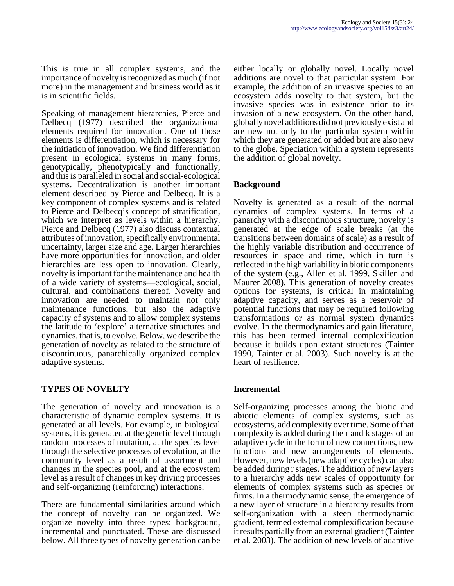This is true in all complex systems, and the importance of novelty is recognized as much (if not more) in the management and business world as it is in scientific fields.

Speaking of management hierarchies, Pierce and Delbecq (1977) described the organizational elements required for innovation. One of those elements is differentiation, which is necessary for the initiation of innovation. We find differentiation present in ecological systems in many forms, genotypically, phenotypically and functionally, and this is paralleled in social and social-ecological systems. Decentralization is another important element described by Pierce and Delbecq. It is a key component of complex systems and is related to Pierce and Delbecq's concept of stratification, which we interpret as levels within a hierarchy. Pierce and Delbecq (1977) also discuss contextual attributes of innovation, specifically environmental uncertainty, larger size and age. Larger hierarchies have more opportunities for innovation, and older hierarchies are less open to innovation. Clearly, novelty is important for the maintenance and health of a wide variety of systems—ecological, social, cultural, and combinations thereof. Novelty and innovation are needed to maintain not only maintenance functions, but also the adaptive capacity of systems and to allow complex systems the latitude to 'explore' alternative structures and dynamics, that is, to evolve. Below, we describe the generation of novelty as related to the structure of discontinuous, panarchically organized complex adaptive systems.

## **TYPES OF NOVELTY**

The generation of novelty and innovation is a characteristic of dynamic complex systems. It is generated at all levels. For example, in biological systems, it is generated at the genetic level through random processes of mutation, at the species level through the selective processes of evolution, at the community level as a result of assortment and changes in the species pool, and at the ecosystem level as a result of changes in key driving processes and self-organizing (reinforcing) interactions.

There are fundamental similarities around which the concept of novelty can be organized. We organize novelty into three types: background, incremental and punctuated. These are discussed below. All three types of novelty generation can be

either locally or globally novel. Locally novel additions are novel to that particular system. For example, the addition of an invasive species to an ecosystem adds novelty to that system, but the invasive species was in existence prior to its invasion of a new ecosystem. On the other hand, globally novel additions did not previously exist and are new not only to the particular system within which they are generated or added but are also new to the globe. Speciation within a system represents the addition of global novelty.

# **Background**

Novelty is generated as a result of the normal dynamics of complex systems. In terms of a panarchy with a discontinuous structure, novelty is generated at the edge of scale breaks (at the transitions between domains of scale) as a result of the highly variable distribution and occurrence of resources in space and time, which in turn is reflected in the high variability in biotic components of the system (e.g., Allen et al. 1999, Skillen and Maurer 2008). This generation of novelty creates options for systems, is critical in maintaining adaptive capacity, and serves as a reservoir of potential functions that may be required following transformations or as normal system dynamics evolve. In the thermodynamics and gain literature, this has been termed internal complexification because it builds upon extant structures (Tainter 1990, Tainter et al. 2003). Such novelty is at the heart of resilience.

## **Incremental**

Self-organizing processes among the biotic and abiotic elements of complex systems, such as ecosystems, add complexity over time. Some of that complexity is added during the r and k stages of an adaptive cycle in the form of new connections, new functions and new arrangements of elements. However, new levels (new adaptive cycles) can also be added during r stages. The addition of new layers to a hierarchy adds new scales of opportunity for elements of complex systems such as species or firms. In a thermodynamic sense, the emergence of a new layer of structure in a hierarchy results from self-organization with a steep thermodynamic gradient, termed external complexification because it results partially from an external gradient (Tainter et al. 2003). The addition of new levels of adaptive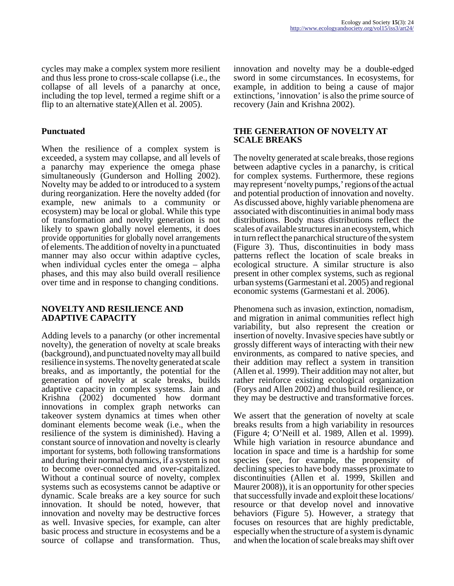cycles may make a complex system more resilient and thus less prone to cross-scale collapse (i.e., the collapse of all levels of a panarchy at once, including the top level, termed a regime shift or a flip to an alternative state)(Allen et al. 2005).

# **Punctuated**

When the resilience of a complex system is exceeded, a system may collapse, and all levels of a panarchy may experience the omega phase simultaneously (Gunderson and Holling 2002). Novelty may be added to or introduced to a system during reorganization. Here the novelty added (for example, new animals to a community or ecosystem) may be local or global. While this type of transformation and novelty generation is not likely to spawn globally novel elements, it does provide opportunities for globally novel arrangements of elements. The addition of novelty in a punctuated manner may also occur within adaptive cycles. when individual cycles enter the omega – alpha phases, and this may also build overall resilience over time and in response to changing conditions.

#### **NOVELTY AND RESILIENCE AND ADAPTIVE CAPACITY**

Adding levels to a panarchy (or other incremental novelty), the generation of novelty at scale breaks (background), and punctuated novelty may all build resilience in systems. The novelty generated at scale breaks, and as importantly, the potential for the generation of novelty at scale breaks, builds adaptive capacity in complex systems. Jain and Krishna (2002) documented how dormant innovations in complex graph networks can takeover system dynamics at times when other dominant elements become weak (i.e., when the resilience of the system is diminished). Having a constant source of innovation and novelty is clearly important for systems, both following transformations and during their normal dynamics, if a system is not to become over-connected and over-capitalized. Without a continual source of novelty, complex systems such as ecosystems cannot be adaptive or dynamic. Scale breaks are a key source for such innovation. It should be noted, however, that innovation and novelty may be destructive forces as well. Invasive species, for example, can alter basic process and structure in ecosystems and be a source of collapse and transformation. Thus,

innovation and novelty may be a double-edged sword in some circumstances. In ecosystems, for example, in addition to being a cause of major extinctions, 'innovation' is also the prime source of recovery (Jain and Krishna 2002).

#### **THE GENERATION OF NOVELTY AT SCALE BREAKS**

The novelty generated at scale breaks, those regions between adaptive cycles in a panarchy, is critical for complex systems. Furthermore, these regions may represent 'novelty pumps,' regions of the actual and potential production of innovation and novelty. As discussed above, highly variable phenomena are associated with discontinuities in animal body mass distributions. Body mass distributions reflect the scales of available structures in an ecosystem, which in turn reflect the panarchical structure of the system (Figure 3). Thus, discontinuities in body mass patterns reflect the location of scale breaks in ecological structure. A similar structure is also present in other complex systems, such as regional urban systems (Garmestani et al. 2005) and regional economic systems (Garmestani et al. 2006).

Phenomena such as invasion, extinction, nomadism, and migration in animal communities reflect high variability, but also represent the creation or insertion of novelty. Invasive species have subtly or grossly different ways of interacting with their new environments, as compared to native species, and their addition may reflect a system in transition (Allen et al. 1999). Their addition may not alter, but rather reinforce existing ecological organization (Forys and Allen 2002) and thus build resilience, or they may be destructive and transformative forces.

We assert that the generation of novelty at scale breaks results from a high variability in resources (Figure 4; O'Neill et al. 1989, Allen et al. 1999). While high variation in resource abundance and location in space and time is a hardship for some species (see, for example, the propensity of declining species to have body masses proximate to discontinuities (Allen et al. 1999, Skillen and Maurer 2008)), it is an opportunity for other species that successfully invade and exploit these locations/ resource or that develop novel and innovative behaviors (Figure 5). However, a strategy that focuses on resources that are highly predictable, especially when the structure of a system is dynamic and when the location of scale breaks may shift over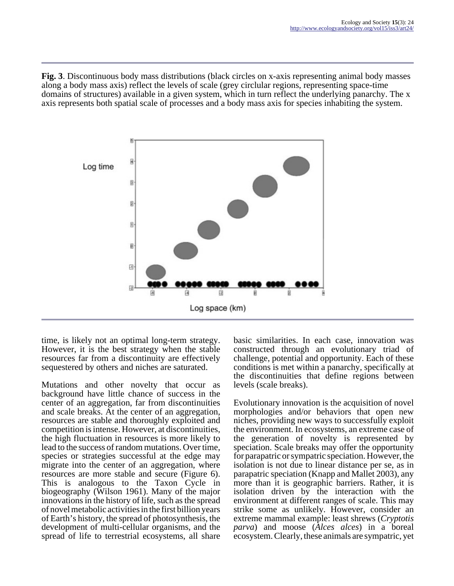**Fig. 3**. Discontinuous body mass distributions (black circles on x-axis representing animal body masses along a body mass axis) reflect the levels of scale (grey circlular regions, representing space-time domains of structures) available in a given system, which in turn reflect the underlying panarchy. The x axis represents both spatial scale of processes and a body mass axis for species inhabiting the system.



time, is likely not an optimal long-term strategy. However, it is the best strategy when the stable resources far from a discontinuity are effectively sequestered by others and niches are saturated.

Mutations and other novelty that occur as background have little chance of success in the center of an aggregation, far from discontinuities and scale breaks. At the center of an aggregation, resources are stable and thoroughly exploited and competition is intense. However, at discontinuities, the high fluctuation in resources is more likely to lead to the success of random mutations. Over time, species or strategies successful at the edge may migrate into the center of an aggregation, where resources are more stable and secure (Figure 6). This is analogous to the Taxon Cycle in biogeography (Wilson 1961). Many of the major innovations in the history of life, such as the spread of novel metabolic activities in the first billion years of Earth's history, the spread of photosynthesis, the development of multi-cellular organisms, and the spread of life to terrestrial ecosystems, all share basic similarities. In each case, innovation was constructed through an evolutionary triad of challenge, potential and opportunity. Each of these conditions is met within a panarchy, specifically at the discontinuities that define regions between levels (scale breaks).

Evolutionary innovation is the acquisition of novel morphologies and/or behaviors that open new niches, providing new ways to successfully exploit the environment. In ecosystems, an extreme case of the generation of novelty is represented by speciation. Scale breaks may offer the opportunity for parapatric or sympatric speciation. However, the isolation is not due to linear distance per se, as in parapatric speciation (Knapp and Mallet 2003), any more than it is geographic barriers. Rather, it is isolation driven by the interaction with the environment at different ranges of scale. This may strike some as unlikely. However, consider an extreme mammal example: least shrews (*Cryptotis parva*) and moose (*Alces alces*) in a boreal ecosystem. Clearly, these animals are sympatric, yet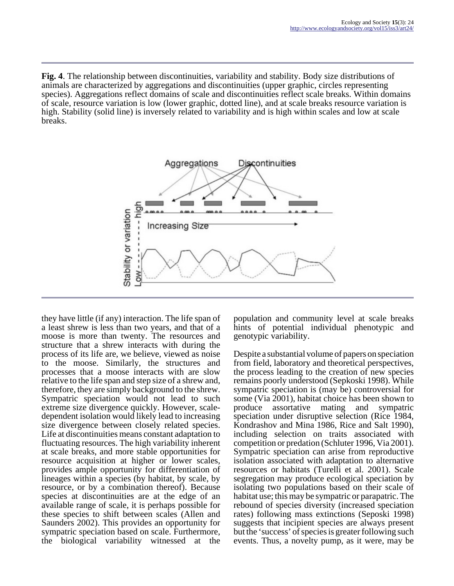**Fig. 4**. The relationship between discontinuities, variability and stability. Body size distributions of animals are characterized by aggregations and discontinuities (upper graphic, circles representing species). Aggregations reflect domains of scale and discontinuities reflect scale breaks. Within domains of scale, resource variation is low (lower graphic, dotted line), and at scale breaks resource variation is high. Stability (solid line) is inversely related to variability and is high within scales and low at scale breaks.



they have little (if any) interaction. The life span of a least shrew is less than two years, and that of a moose is more than twenty. The resources and structure that a shrew interacts with during the process of its life are, we believe, viewed as noise to the moose. Similarly, the structures and processes that a moose interacts with are slow relative to the life span and step size of a shrew and, therefore, they are simply background to the shrew. Sympatric speciation would not lead to such extreme size divergence quickly. However, scaledependent isolation would likely lead to increasing size divergence between closely related species. Life at discontinuities means constant adaptation to fluctuating resources. The high variability inherent at scale breaks, and more stable opportunities for resource acquisition at higher or lower scales, provides ample opportunity for differentiation of lineages within a species (by habitat, by scale, by resource, or by a combination thereof). Because species at discontinuities are at the edge of an available range of scale, it is perhaps possible for these species to shift between scales (Allen and Saunders 2002). This provides an opportunity for sympatric speciation based on scale. Furthermore, the biological variability witnessed at the

population and community level at scale breaks hints of potential individual phenotypic and genotypic variability.

Despite a substantial volume of papers on speciation from field, laboratory and theoretical perspectives, the process leading to the creation of new species remains poorly understood (Sepkoski 1998). While sympatric speciation is (may be) controversial for some (Via 2001), habitat choice has been shown to produce assortative mating and sympatric speciation under disruptive selection (Rice 1984, Kondrashov and Mina 1986, Rice and Salt 1990), including selection on traits associated with competition or predation (Schluter 1996, Via 2001). Sympatric speciation can arise from reproductive isolation associated with adaptation to alternative resources or habitats (Turelli et al. 2001). Scale segregation may produce ecological speciation by isolating two populations based on their scale of habitat use; this may be sympatric or parapatric. The rebound of species diversity (increased speciation rates) following mass extinctions (Seposki 1998) suggests that incipient species are always present but the 'success' of species is greater following such events. Thus, a novelty pump, as it were, may be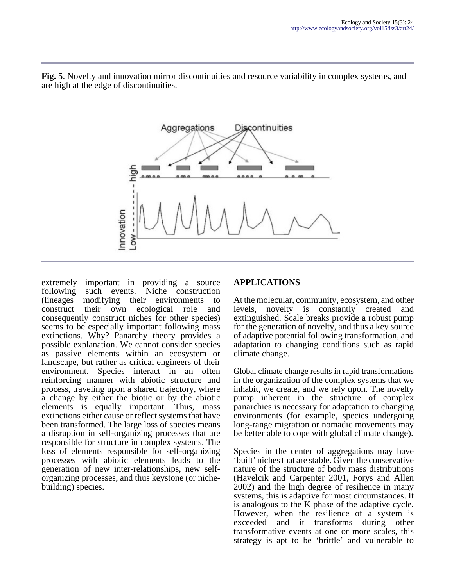

**Fig. 5**. Novelty and innovation mirror discontinuities and resource variability in complex systems, and are high at the edge of discontinuities.

extremely important in providing a source following such events. Niche construction (lineages modifying their environments to construct their own ecological role and consequently construct niches for other species) seems to be especially important following mass extinctions. Why? Panarchy theory provides a possible explanation. We cannot consider species as passive elements within an ecosystem or landscape, but rather as critical engineers of their environment. Species interact in an often reinforcing manner with abiotic structure and process, traveling upon a shared trajectory, where a change by either the biotic or by the abiotic elements is equally important. Thus, mass extinctions either cause or reflect systems that have been transformed. The large loss of species means a disruption in self-organizing processes that are responsible for structure in complex systems. The loss of elements responsible for self-organizing processes with abiotic elements leads to the generation of new inter-relationships, new selforganizing processes, and thus keystone (or nichebuilding) species.

# **APPLICATIONS**

At the molecular, community, ecosystem, and other levels, novelty is constantly created and extinguished. Scale breaks provide a robust pump for the generation of novelty, and thus a key source of adaptive potential following transformation, and adaptation to changing conditions such as rapid climate change.

Global climate change results in rapid transformations in the organization of the complex systems that we inhabit, we create, and we rely upon. The novelty pump inherent in the structure of complex panarchies is necessary for adaptation to changing environments (for example, species undergoing long-range migration or nomadic movements may be better able to cope with global climate change).

Species in the center of aggregations may have 'built' niches that are stable. Given the conservative nature of the structure of body mass distributions (Havelcik and Carpenter 2001, Forys and Allen 2002) and the high degree of resilience in many systems, this is adaptive for most circumstances. It is analogous to the K phase of the adaptive cycle. However, when the resilience of a system is exceeded and it transforms during other transformative events at one or more scales, this strategy is apt to be 'brittle' and vulnerable to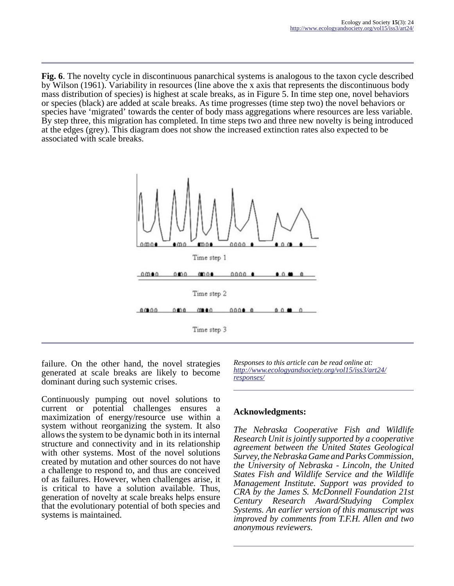**Fig. 6**. The novelty cycle in discontinuous panarchical systems is analogous to the taxon cycle described by Wilson (1961). Variability in resources (line above the x axis that represents the discontinuous body mass distribution of species) is highest at scale breaks, as in Figure 5. In time step one, novel behaviors or species (black) are added at scale breaks. As time progresses (time step two) the novel behaviors or species have 'migrated' towards the center of body mass aggregations where resources are less variable. By step three, this migration has completed. In time steps two and three new novelty is being introduced at the edges (grey). This diagram does not show the increased extinction rates also expected to be associated with scale breaks.



failure. On the other hand, the novel strategies generated at scale breaks are likely to become dominant during such systemic crises.

Continuously pumping out novel solutions to current or potential challenges ensures a maximization of energy/resource use within a system without reorganizing the system. It also allows the system to be dynamic both in its internal structure and connectivity and in its relationship with other systems. Most of the novel solutions created by mutation and other sources do not have a challenge to respond to, and thus are conceived of as failures. However, when challenges arise, it is critical to have a solution available. Thus, generation of novelty at scale breaks helps ensure that the evolutionary potential of both species and systems is maintained.

*Responses to this article can be read online at: [http://www](http://www.ecologyandsociety.org/vol15/iss3/art24/responses/).ecologyandsociety.org/vol15/iss3/art24/ responses/*

# **Acknowledgments:**

*The Nebraska Cooperative Fish and Wildlife Research Unit is jointly supported by a cooperative agreement between the United States Geological Survey, the Nebraska Game and Parks Commission, the University of Nebraska - Lincoln, the United States Fish and Wildlife Service and the Wildlife Management Institute. Support was provided to CRA by the James S. McDonnell Foundation 21st Century Research Award/Studying Complex Systems. An earlier version of this manuscript was improved by comments from T.F.H. Allen and two anonymous reviewers.*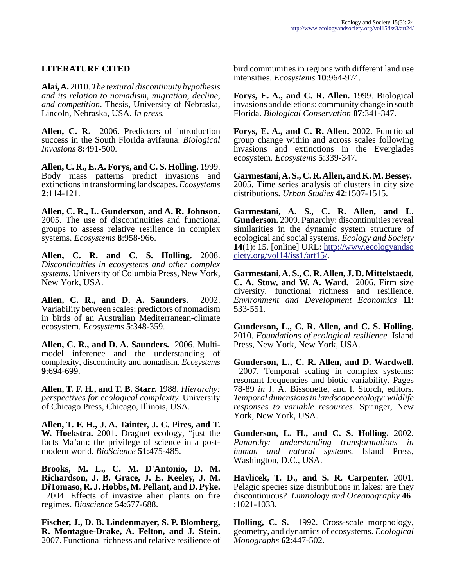# **LITERATURE CITED**

**Alai, A.** 2010. *The textural discontinuity hypothesis and its relation to nomadism, migration, decline, and competition*. Thesis, University of Nebraska, Lincoln, Nebraska, USA. *In press.*

**Allen, C. R.** 2006. Predictors of introduction success in the South Florida avifauna. *Biological Invasions* **8:**491-500.

**Allen, C. R., E. A. Forys, and C. S. Holling.** 1999. Body mass patterns predict invasions and extinctions in transforming landscapes. *Ecosystems* **2**:114-121.

**Allen, C. R., L. Gunderson, and A. R. Johnson.** 2005. The use of discontinuities and functional groups to assess relative resilience in complex systems. *Ecosystems* **8**:958-966.

**Allen, C. R. and C. S. Holling.** 2008. *Discontinuities in ecosystems and other complex systems.* University of Columbia Press, New York, New York, USA.

**Allen, C. R., and D. A. Saunders.** 2002. Variability between scales: predictors of nomadism in birds of an Australian Mediterranean-climate ecosystem. *Ecosystems* **5**:348-359.

**Allen, C. R., and D. A. Saunders.** 2006. Multimodel inference and the understanding of complexity, discontinuity and nomadism. *Ecosystems* **9**:694-699.

**Allen, T. F. H., and T. B. Starr.** 1988. *Hierarchy: perspectives for ecological complexity.* University of Chicago Press, Chicago, Illinois, USA.

**Allen, T. F. H., J. A. Tainter, J. C. Pires, and T. W. Hoekstra.** 2001. Dragnet ecology, "just the facts Ma'am: the privilege of science in a postmodern world. *BioScience* **51**:475-485.

**Brooks, M. L., C. M. D'Antonio, D. M. Richardson, J. B. Grace, J. E. Keeley, J. M. DiTomaso, R. J. Hobbs, M. Pellant, and D. Pyke.** 2004. Effects of invasive alien plants on fire regimes. *Bioscience* **54**:677-688.

**Fischer, J., D. B. Lindenmayer, S. P. Blomberg, R. Montague-Drake, A. Felton, and J. Stein.** 2007. Functional richness and relative resilience of bird communities in regions with different land use intensities. *Ecosystems* **10**:964-974.

**Forys, E. A., and C. R. Allen.** 1999. Biological invasions and deletions: community change in south Florida. *Biological Conservation* **87**:341-347.

**Forys, E. A., and C. R. Allen.** 2002. Functional group change within and across scales following invasions and extinctions in the Everglades ecosystem. *Ecosystems* **5**:339-347.

**Garmestani, A. S., C. R. Allen, and K. M. Bessey***.*  2005. Time series analysis of clusters in city size distributions. *Urban Studies* **42**:1507-1515.

**Garmestani, A. S., C. R. Allen, and L. Gunderson.** 2009. Panarchy: discontinuities reveal similarities in the dynamic system structure of ecological and social systems. *Ecology and Society* **14**(1): 15. [online] URL: [http://www.ecologyandso](http://www.ecologyandsociety.org/vol14/iss1/art15/) [ciety.org/vol14/iss1/art15/](http://www.ecologyandsociety.org/vol14/iss1/art15/).

**Garmestani, A. S., C. R. Allen, J. D. Mittelstaedt, C. A. Stow, and W. A. Ward.** 2006. Firm size diversity, functional richness and resilience. *Environment and Development Economics* **11**: 533-551.

**Gunderson, L., C. R. Allen, and C. S. Holling.** 2010. *Foundations of ecological resilience.* Island Press, New York, New York, USA.

**Gunderson, L., C. R. Allen, and D. Wardwell.** 2007. Temporal scaling in complex systems: resonant frequencies and biotic variability. Pages 78-89 *in* J. A. Bissonette, and I. Storch, editors. *Temporal dimensions in landscape ecology: wildlife responses to variable resources*. Springer, New York, New York, USA.

**Gunderson, L. H., and C. S. Holling.** 2002. *Panarchy: understanding transformations in human and natural systems.* Island Press, Washington, D.C., USA.

**Havlicek, T. D., and S. R. Carpenter.** 2001. Pelagic species size distributions in lakes: are they discontinuous? *Limnology and Oceanography* **46** :1021-1033.

**Holling, C. S.** 1992. Cross-scale morphology, geometry, and dynamics of ecosystems. *Ecological Monographs* **62**:447-502.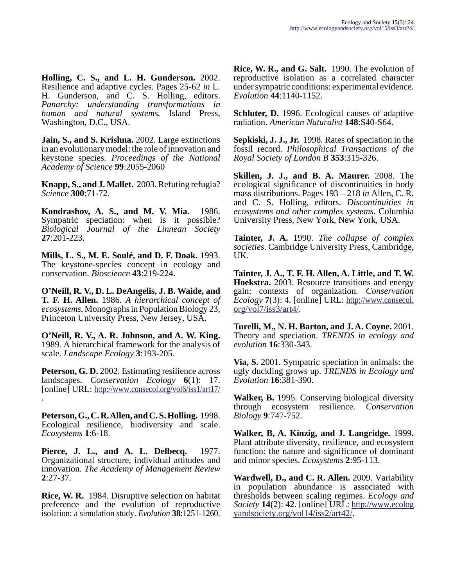**Holling, C. S., and L. H. Gunderson.** 2002. Resilience and adaptive cycles. Pages 25-62 *in* L. H. Gunderson, and C. S. Holling, editors. *Panarchy: understanding transformations in human and natural systems.* Island Press, Washington, D.C., USA.

**Jain, S., and S. Krishna.** 2002. Large extinctions in an evolutionary model: the role of innovation and keystone species. *Proceedings of the National Academy of Science* **99**:2055-2060

**Knapp, S., and J. Mallet.** 2003. Refuting refugia? *Science* **300**:71-72.

**Kondrashov, A. S., and M. V. Mia.** 1986. Sympatric speciation: when is it possible? *Biological Journal of the Linnean Society* **27**:201-223.

**Mills, L. S., M. E. Soulé, and D. F. Doak.** 1993. The keystone-species concept in ecology and conservation. *Bioscience* **43**:219-224.

**O'Neill, R. V., D. L. DeAngelis, J. B. Waide, and T. F. H. Allen.** 1986. *A hierarchical concept of ecosystems.* Monographs in Population Biology 23, Princeton University Press, New Jersey, USA.

**O'Neill, R. V., A. R. Johnson, and A. W. King.** 1989. A hierarchical framework for the analysis of scale. *Landscape Ecology* **3**:193-205.

**Peterson, G. D.** 2002. Estimating resilience across landscapes. *Conservation Ecology* **6**(1): 17. [online] URL:<http://www.consecol.org/vol6/iss1/art17/> .

**Peterson, G., C. R. Allen, and C. S. Holling.** 1998. Ecological resilience, biodiversity and scale. *Ecosystems* **1**:6-18.

**Pierce, J. L., and A. L. Delbecq.** 1977. Organizational structure, individual attitudes and innovation. *The Academy of Management Review* **2**:27-37.

**Rice, W. R.** 1984. Disruptive selection on habitat preference and the evolution of reproductive isolation: a simulation study. *Evolution* **38**:1251-1260.

**Rice, W. R., and G. Salt.** 1990. The evolution of reproductive isolation as a correlated character under sympatric conditions: experimental evidence. *Evolution* **44**:1140-1152.

**Schluter, D.** 1996. Ecological causes of adaptive radiation. *American Naturalist* **148**:S40-S64.

**Sepkiski, J. J., Jr.** 1998. Rates of speciation in the fossil record. *Philosophical Transactions of the Royal Society of London B* **353**:315-326.

**Skillen, J. J., and B. A. Maurer.** 2008. The ecological significance of discontinuities in body mass distributions. Pages 193 – 218 *in* Allen, C. R. and C. S. Holling, editors. *Discontinuities in ecosystems and other complex systems*. Columbia University Press, New York, New York, USA.

**Tainter, J. A.** 1990. *The collapse of complex societies*. Cambridge University Press, Cambridge, UK.

**Tainter, J. A., T. F. H. Allen, A. Little, and T. W. Hoekstra.** 2003. Resource transitions and energy gain: contexts of organization. *Conservation Ecology* **7**(3): 4. [online] URL: [http://www.consecol.](http://www.consecol.org/vol7/iss3/art4/) [org/vol7/iss3/art4/](http://www.consecol.org/vol7/iss3/art4/).

**Turelli, M., N. H. Barton, and J. A. Coyne.** 2001. Theory and speciation. *TRENDS in ecology and evolution* **16**:330-343.

**Via, S.** 2001. Sympatric speciation in animals: the ugly duckling grows up. *TRENDS in Ecology and Evolution* **16**:381-390.

**Walker, B.** 1995. Conserving biological diversity through ecosystem resilience. *Conservation Biology* **9**:747-752.

**Walker, B, A. Kinzig, and J. Langridge.** 1999. Plant attribute diversity, resilience, and ecosystem function: the nature and significance of dominant and minor species. *Ecosystems* **2**:95-113.

**Wardwell, D., and C. R. Allen.** 2009. Variability in population abundance is associated with thresholds between scaling regimes. *Ecology and Society* **14**(2): 42. [online] URL: [http://www.ecolog](http://www.ecologyandsociety.org/vol14/iss2/art42/) [yandsociety.org/vol14/iss2/art42/](http://www.ecologyandsociety.org/vol14/iss2/art42/).